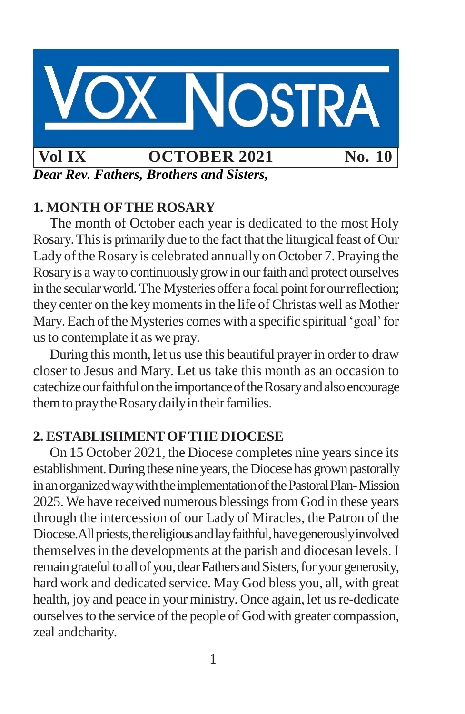

*Dear Rev. Fathers, Brothers and Sisters,*

# **1. MONTH OFTHE ROSARY**

The month of October each year is dedicated to the most Holy Rosary. This is primarily due to the fact that the liturgical feast of Our Lady of the Rosary is celebrated annually on October 7. Praying the Rosaryis a wayto continuouslygrowin ourfaith and protect ourselves in the secular world. The Mysteries offer a focal point for our reflection; they center on the key moments in the life of Christas well as Mother Mary.Each of the Mysteries comes with a specific spiritual'goal'for usto contemplate it as we pray.

During this month, let us use this beautiful prayer in order to draw closer to Jesus and Mary. Let us take this month as an occasion to catechize our faithful on the importance of the Rosary and also encourage them to pray the Rosary daily in their families.

## **2. ESTABLISHMENTOFTHE DIOCESE**

On 15 October 2021, the Diocese completes nine years since its establishment. During these nine years, the Diocese has grown pastorally in an organized way with the implementation of the Pastoral Plan-Mission 2025. We have received numerous blessings from God in these years through the intercession of our Lady of Miracles, the Patron of the Diocese. All priests, the religious and lay faithful, have generously involved themselvesin the developments at the parish and diocesan levels. I remain grateful to all of you, dear Fathers and Sisters, for your generosity, hard work and dedicated service. May God bless you, all, with great health, joy and peace in your ministry. Once again, let us re-dedicate ourselves to the service of the people of God with greater compassion, zeal andcharity.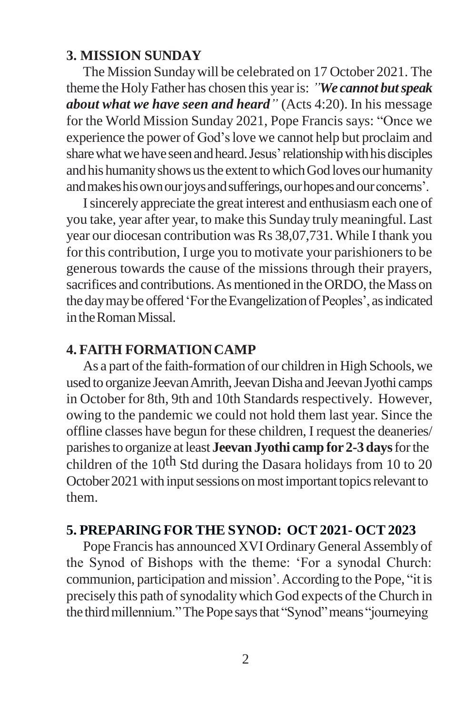#### **3. MISSION SUNDAY**

The Mission Sundaywill be celebrated on 17 October 2021. The theme the Holy Father has chosen this yearis: *"We cannot butspeak about what we have seen and heard"* (Acts 4:20). In his message for the World Mission Sunday 2021, Pope Francis says: "Once we experience the power of God'slove we cannot help but proclaim and share what we have seen and heard. Jesus' relationship with his disciples and his humanity shows us the extent to which God loves our humanity and makes his own our joys and sufferings, our hopes and our concerns'.

Isincerely appreciate the great interest and enthusiasmeach one of you take, year after year, to make this Sunday trulymeaningful. Last year our diocesan contribution was Rs 38,07,731. While I thank you for this contribution, I urge you to motivate your parishioners to be generous towards the cause of the missions through their prayers, sacrifices and contributions. As mentioned in the ORDO, the Mass on the day may be offered 'For the Evangelization of Peoples', as indicated intheRomanMissal.

#### **4. FAITH FORMATIONCAMP**

As a part of the faith-formation of our children in High Schools, we used to organize Jeevan Amrith, Jeevan Disha and Jeevan Jyothi camps in October for 8th, 9th and 10th Standards respectively. However, owing to the pandemic we could not hold them last year. Since the offline classes have begun for these children, I request the deaneries/ parishesto organize at least **Jeevan Jyothi camp for 2-3 days**forthe children of the 10<sup>th</sup> Std during the Dasara holidays from 10 to 20 October 2021 with input sessions on most important topics relevant to them.

### **5. PREPARINGFOR THE SYNOD: OCT 2021- OCT2023**

Pope Francis has announced XVI Ordinary General Assembly of the Synod of Bishops with the theme: 'For a synodal Church: communion, participation and mission'.According to the Pope, "it is precisely this path of synodality which God expects of the Church in the third millennium." The Pope says that "Synod" means "journeying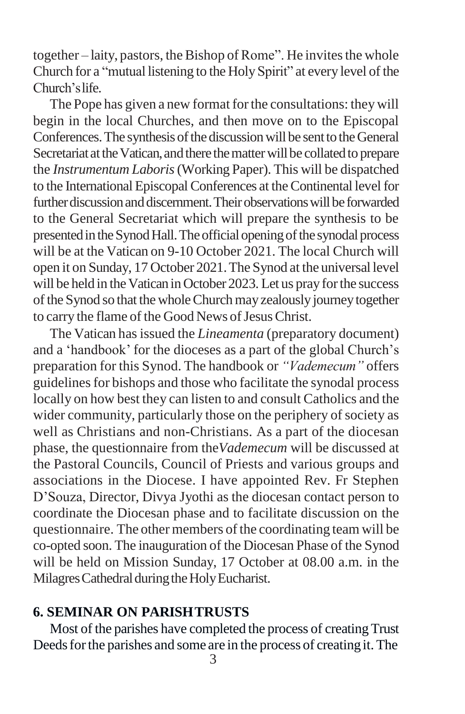together – laity, pastors, the Bishop of Rome". He invites the whole Church for a "mutual listening to the HolySpirit" at every level of the Church'slife.

The Pope has given a new format for the consultations: they will begin in the local Churches, and then move on to the Episcopal Conferences. The synthesis of the discussion will be sent to the General Secretariat at the Vatican, and there the matter will be collated to prepare the *Instrumentum Laboris*(Working Paper). This will be dispatched to the International Episcopal Conferences at the Continental level for further discussion and discernment. Their observations will be forwarded to the General Secretariat which will prepare the synthesis to be presented in the Synod Hall. The official opening of the synodal process will be at the Vatican on 9-10 October 2021. The local Church will open it on Sunday, 17 October 2021.The Synod at the universal level will be held in the Vatican in October 2023. Let us pray for the success of the Synod so that the whole Church may zealously journey together to carry the flame of the Good News of Jesus Christ.

The Vatican hasissued the *Lineamenta* (preparatory document) and a 'handbook' for the dioceses as a part of the global Church's preparation for this Synod. The handbook or *"Vademecum"* offers guidelines for bishops and those who facilitate the synodal process locally on how best they can listen to and consult Catholics and the wider community, particularly those on the periphery of society as well as Christians and non-Christians. As a part of the diocesan phase, the questionnaire from the*Vademecum* will be discussed at the Pastoral Councils, Council of Priests and various groups and associations in the Diocese. I have appointed Rev. Fr Stephen D'Souza, Director, Divya Jyothi as the diocesan contact person to coordinate the Diocesan phase and to facilitate discussion on the questionnaire. The other members of the coordinating team will be co-opted soon. The inauguration of the Diocesan Phase of the Synod will be held on Mission Sunday, 17 October at 08.00 a.m. in the Milagres Cathedral during the Holy Eucharist.

#### **6. SEMINAR ON PARISHTRUSTS**

Most of the parishes have completed the process of creatingTrust Deeds for the parishes and some are in the process of creating it. The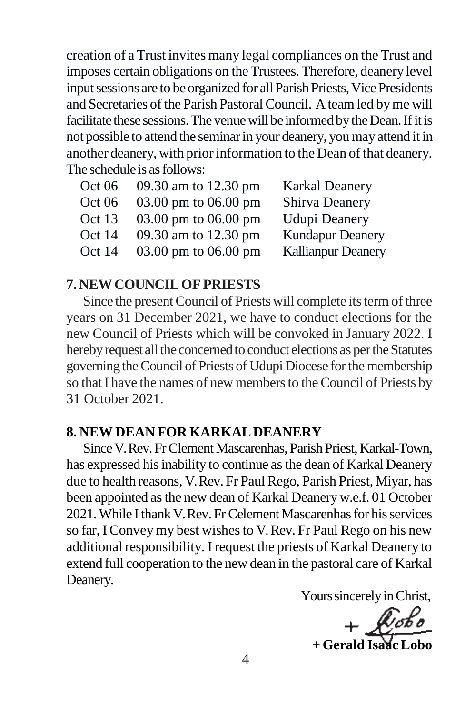creation of a Trust invites many legal compliances on the Trust and imposes certain obligations on the Trustees.Therefore, deanery level input sessions are to be organized for all Parish Priests, Vice Presidents and Secretaries of the Parish Pastoral Council. A team led by me will facilitate these sessions. The venue will be informed by the Dean. If it is not possible to attend the seminarin your deanery, youmay attend it in another deanery, with prior information to the Dean of that deanery. The schedule is as follows:

| Oct 06 | 09.30 am to 12.30 pm   | <b>Karkal Deanery</b>     |
|--------|------------------------|---------------------------|
| Oct 06 | 03.00 pm to $06.00$ pm | <b>Shirva Deanery</b>     |
| Oct 13 | 03.00 pm to 06.00 pm   | <b>Udupi Deanery</b>      |
| Oct 14 | 09.30 am to 12.30 pm   | <b>Kundapur Deanery</b>   |
| Oct 14 | 03.00 pm to $06.00$ pm | <b>Kallianpur Deanery</b> |

#### **7. NEWCOUNCILOF PRIESTS**

Since the present Council of Priests will complete its term of three years on 31 December 2021, we have to conduct elections for the new Council of Priests which will be convoked in January 2022. I hereby request all the concerned to conduct elections as per the Statutes governing the Council of Priests of Udupi Diocese for the membership so that I have the names of new members to the Council of Priests by 31 October 2021.

#### **8. NEW DEAN FOR KARKALDEANERY**

Since V. Rev. Fr Clement Mascarenhas, Parish Priest, Karkal-Town, has expressed his inability to continue as the dean of Karkal Deanery due to health reasons, V. Rev. Fr Paul Rego, Parish Priest, Miyar, has been appointed asthe new dean of Karkal Deanery w.e.f. 01 October 2021. While I thank V. Rev. Fr Celement Mascarenhas for his services so far, I Convey my best wishes to V. Rev. Fr Paul Rego on his new additional responsibility. I request the priests of Karkal Deanery to extend full cooperation to the new dean in the pastoral care of Karkal Deanery.

Yours sincerely in Christ,

 $+$  **Gerald Isaac L**